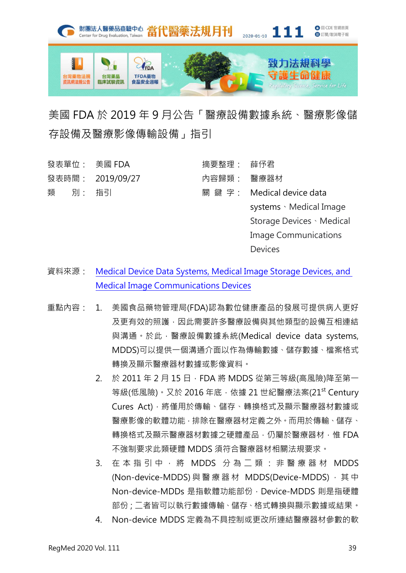

## 美國 FDA 於 2019 年 9 月公告「醫療設備數據系統、醫療影像儲 存設備及醫療影像傳輸設備」指引

| 發表單位: 美國 FDA |  |                  | 摘要整理: 薛伃君  |                             |
|--------------|--|------------------|------------|-----------------------------|
|              |  | 發表時間: 2019/09/27 | 內容歸類: 醫療器材 |                             |
| 類 別: 指引      |  |                  |            | 關 鍵 字: Medical device data  |
|              |  |                  |            | systems · Medical Image     |
|              |  |                  |            | Storage Devices · Medical   |
|              |  |                  |            | <b>Image Communications</b> |
|              |  |                  |            | <b>Devices</b>              |

- 資料來源: [Medical Device Data Systems, Medical Image Storage Devices, and](https://www.fda.gov/regulatory-information/search-fda-guidance-documents/medical-device-data-systems-medical-image-storage-devices-and-medical-image-communications-devices)  [Medical Image Communications Devices](https://www.fda.gov/regulatory-information/search-fda-guidance-documents/medical-device-data-systems-medical-image-storage-devices-and-medical-image-communications-devices)
- 重點內容: 1. 美國食品藥物管理局(FDA)認為數位健康產品的發展可提供病人更好 及更有效的照護,因此需要許多醫療設備與其他類型的設備互相連結 與溝通。於此,醫療設備數據系統(Medical device data systems, MDDS)可以提供一個溝通介面以作為傳輸數據、儲存數據、檔案格式 轉換及顯示醫療器材數據或影像資料。
	- 2. 於 2011 年 2 月 15 日 · FDA 將 MDDS 從第三等級(高風險)降至第一 等級(低風險)。又於 2016 年底, 依據 21 世紀醫療法案(21<sup>st</sup> Century Cures Act),將僅用於傳輸、儲存、轉換格式及顯示醫療器材數據或 醫療影像的軟體功能,排除在醫療器材定義之外。而用於傳輸、儲存、 轉換格式及顯示醫療器材數據之硬體產品,仍屬於醫療器材,惟 FDA 不強制要求此類硬體 MDDS 須符合醫療器材相關法規要求。
	- 3. 在本指引中,將 MDDS 分為二類:非醫療器材 MDDS (Non-device-MDDS) 與 醫 療 器 材 MDDS(Device-MDDS) , 其 中 Non-device-MDDs 是指軟體功能部份, Device-MDDS 則是指硬體 部份;二者皆可以執行數據傳輸、儲存、格式轉換與顯示數據或結果。
	- 4. Non-device MDDS 定義為不具控制或更改所連結醫療器材參數的軟